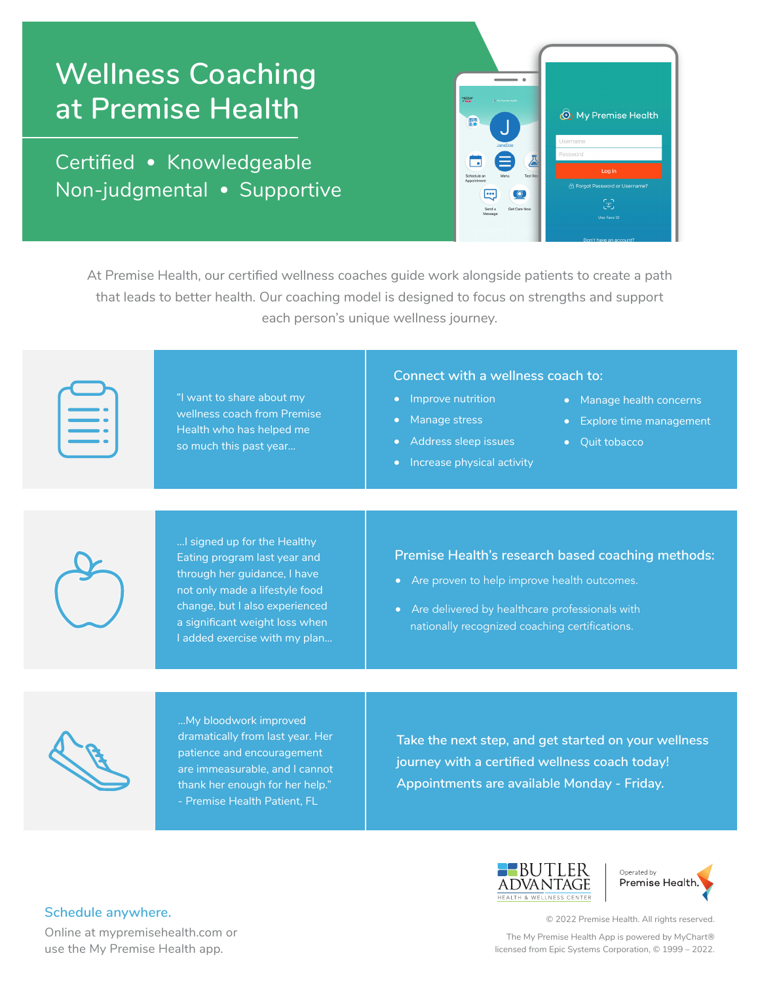# **Wellness Coaching at Premise Health**

Certified • Knowledgeable Non-judgmental • Supportive



At Premise Health, our certified wellness coaches guide work alongside patients to create a path that leads to better health. Our coaching model is designed to focus on strengths and support each person's unique wellness journey.

"I want to share about my wellness coach from Premise Health who has helped me so much this past year...

#### **Connect with a wellness coach to:**

- Improve nutrition
- Manage stress
- Address sleep issues
- Increase physical activity
- Manage health concerns
- Explore time management
- Quit tobacco



...I signed up for the Healthy Eating program last year and through her guidance, I have not only made a lifestyle food change, but I also experienced a significant weight loss when I added exercise with my plan...

**Premise Health's research based coaching methods:** 

- Are proven to help improve health outcomes.
- Are delivered by healthcare professionals with nationally recognized coaching certifications.



...My bloodwork improved dramatically from last year. Her patience and encouragement are immeasurable, and I cannot thank her enough for her help." - Premise Health Patient, FL

**Take the next step, and get started on your wellness journey with a certified wellness coach today! Appointments are available Monday - Friday.** 





© 2022 Premise Health. All rights reserved.

The My Premise Health App is powered by MyChart® licensed from Epic Systems Corporation, © 1999 – 2022.

### **Schedule anywhere.**

Online at mypremisehealth.com or use the My Premise Health app.